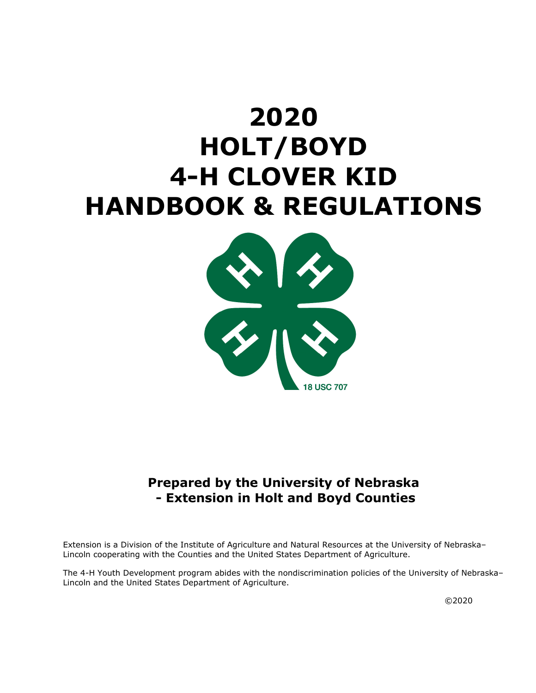# **2020 HOLT/BOYD 4-H CLOVER KID HANDBOOK & REGULATIONS**



# **Prepared by the University of Nebraska - Extension in Holt and Boyd Counties**

Extension is a Division of the Institute of Agriculture and Natural Resources at the University of Nebraska– Lincoln cooperating with the Counties and the United States Department of Agriculture.

The 4-H Youth Development program abides with the nondiscrimination policies of the University of Nebraska– Lincoln and the United States Department of Agriculture.

©2020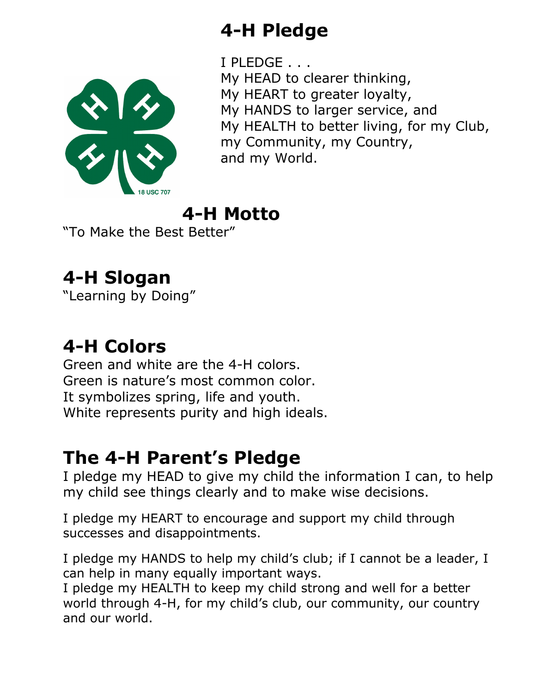# **4-H Pledge**

 $\frac{1}{\sqrt{2}}$ 

I PLEDGE . . .

My HEAD to clearer thinking, My HEART to greater loyalty, My HANDS to larger service, and My HEALTH to better living, for my Club, my Community, my Country, and my World.

# **4-H Motto**

"To Make the Best Better"

# **4-H Slogan**

"Learning by Doing"

# **4-H Colors**

Green and white are the 4-H colors. Green is nature's most common color. It symbolizes spring, life and youth. White represents purity and high ideals.

# **The 4-H Parent's Pledge**

I pledge my HEAD to give my child the information I can, to help my child see things clearly and to make wise decisions.

I pledge my HEART to encourage and support my child through successes and disappointments.

I pledge my HANDS to help my child's club; if I cannot be a leader, I can help in many equally important ways.

I pledge my HEALTH to keep my child strong and well for a better world through 4-H, for my child's club, our community, our country and our world.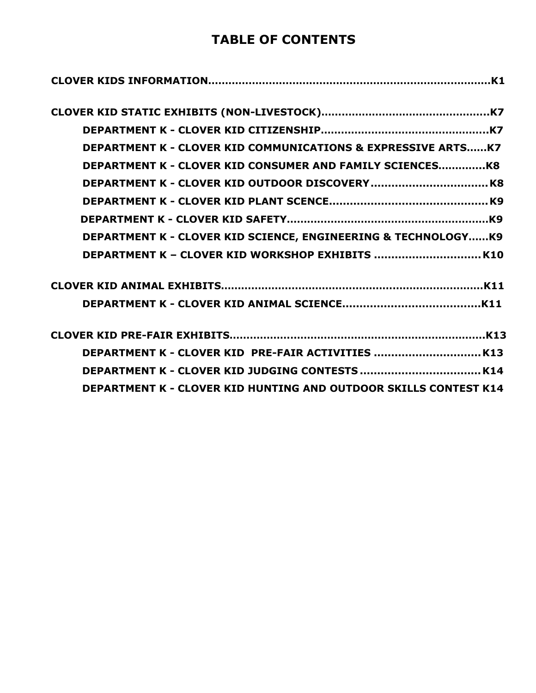# **TABLE OF CONTENTS**

| <b>DEPARTMENT K - CLOVER KID COMMUNICATIONS &amp; EXPRESSIVE ARTSK7</b> |
|-------------------------------------------------------------------------|
| <b>DEPARTMENT K - CLOVER KID CONSUMER AND FAMILY SCIENCESK8</b>         |
|                                                                         |
|                                                                         |
|                                                                         |
| DEPARTMENT K - CLOVER KID SCIENCE, ENGINEERING & TECHNOLOGYK9           |
|                                                                         |
|                                                                         |
|                                                                         |
|                                                                         |
| DEPARTMENT K - CLOVER KID PRE-FAIR ACTIVITIES  K13                      |
|                                                                         |
| <b>DEPARTMENT K - CLOVER KID HUNTING AND OUTDOOR SKILLS CONTEST K14</b> |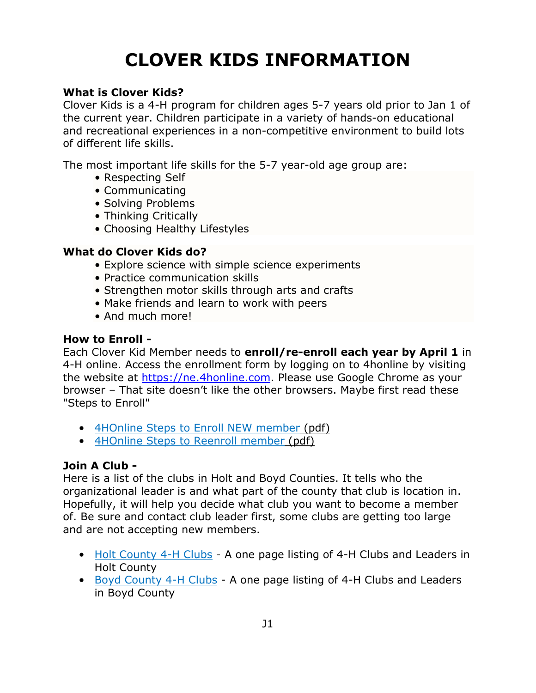# **CLOVER KIDS INFORMATION**

#### <span id="page-3-0"></span>**What is Clover Kids?**

Clover Kids is a 4-H program for children ages 5-7 years old prior to Jan 1 of the current year. Children participate in a variety of hands-on educational and recreational experiences in a non-competitive environment to build lots of different life skills.

The most important life skills for the 5-7 year-old age group are:

- Respecting Self
- Communicating
- Solving Problems
- Thinking Critically
- Choosing Healthy Lifestyles

#### **What do Clover Kids do?**

- Explore science with simple science experiments
- Practice communication skills
- Strengthen motor skills through arts and crafts
- Make friends and learn to work with peers
- And much more!

#### **How to Enroll -**

Each Clover Kid Member needs to **enroll/re-enroll each year by April 1** in 4-H online. Access the enrollment form by logging on to 4honline by visiting the website at [https://ne.4honline.com.](https://ne.4honline.com/) Please use Google Chrome as your browser – That site doesn't like the other browsers. Maybe first read these "Steps to Enroll"

- [4HOnline Steps to Enroll NEW member](https://4h.unl.edu/enroll/new-member) (pdf)
- [4HOnline Steps to Reenroll member](https://4h.unl.edu/enroll/returning-member) (pdf)

### **Join A Club -**

Here is a list of the clubs in Holt and Boyd Counties. It tells who the organizational leader is and what part of the county that club is location in. Hopefully, it will help you decide what club you want to become a member of. Be sure and contact club leader first, some clubs are getting too large and are not accepting new members.

- [Holt County 4-H Clubs](https://unl.box.com/s/kdcnw34qe5v43n4rrb3muyuqagrfpss4) A one page listing of 4-H Clubs and Leaders in Holt County
- [Boyd County 4-H Clubs](https://unl.box.com/s/maepjv8g1qq1e38svdd9e9h3t96jxpmv) A one page listing of 4-H Clubs and Leaders in Boyd County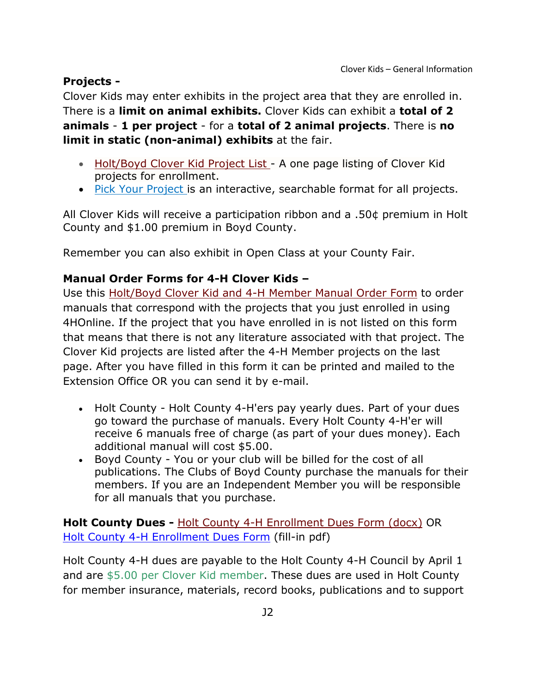### **Projects -**

Clover Kids may enter exhibits in the project area that they are enrolled in. There is a **limit on animal exhibits.** Clover Kids can exhibit a **total of 2 animals** - **1 per project** - for a **total of 2 animal projects**. There is **no limit in static (non-animal) exhibits** at the fair.

- [Holt/Boyd Clover Kid Project List](https://unl.box.com/s/nk9jc7al6xadj68213avoufo9w5whzwx) A one page listing of Clover Kid projects for enrollment.
- [Pick Your Project](https://4hcurriculum.unl.edu/index.php/main/index) is an interactive, searchable format for all projects.

All Clover Kids will receive a participation ribbon and a .50¢ premium in Holt County and \$1.00 premium in Boyd County.

Remember you can also exhibit in Open Class at your County Fair.

### **Manual Order Forms for 4-H Clover Kids –**

Use this [Holt/Boyd Clover Kid and 4-H Member Manual Order Form](https://unl.box.com/s/0yjvxc9zffce2eis75hdfaiffxnhlt53) to order manuals that correspond with the projects that you just enrolled in using 4HOnline. If the project that you have enrolled in is not listed on this form that means that there is not any literature associated with that project. The Clover Kid projects are listed after the 4-H Member projects on the last page. After you have filled in this form it can be printed and mailed to the Extension Office OR you can send it by e-mail.

- Holt County Holt County 4-H'ers pay yearly dues. Part of your dues go toward the purchase of manuals. Every Holt County 4-H'er will receive 6 manuals free of charge (as part of your dues money). Each additional manual will cost \$5.00.
- Boyd County You or your club will be billed for the cost of all publications. The Clubs of Boyd County purchase the manuals for their members. If you are an Independent Member you will be responsible for all manuals that you purchase.

**Holt County Dues -** [Holt County 4-H Enrollment Dues Form](https://unl.box.com/s/pb8nqwgl54hamxi5r4fld8fkjv7qt7ax) (docx) OR [Holt County 4-H Enrollment Dues Form](https://unl.box.com/s/x37fmexjd15e7c4ljp1hl70la7u58a1o) (fill-in pdf)

Holt County 4-H dues are payable to the Holt County 4-H Council by April 1 and are \$5.00 per Clover Kid member. These dues are used in Holt County for member insurance, materials, record books, publications and to support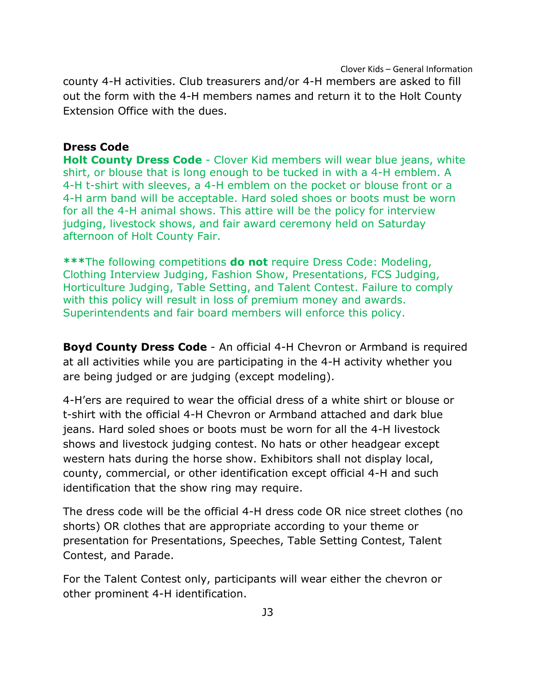Clover Kids – General Information county 4-H activities. Club treasurers and/or 4-H members are asked to fill out the form with the 4-H members names and return it to the Holt County Extension Office with the dues.

#### **Dress Code**

**Holt County Dress Code** - Clover Kid members will wear blue jeans, white shirt, or blouse that is long enough to be tucked in with a 4-H emblem. A 4-H t-shirt with sleeves, a 4-H emblem on the pocket or blouse front or a 4-H arm band will be acceptable. Hard soled shoes or boots must be worn for all the 4-H animal shows. This attire will be the policy for interview judging, livestock shows, and fair award ceremony held on Saturday afternoon of Holt County Fair.

**\*\*\***The following competitions **do not** require Dress Code: Modeling, Clothing Interview Judging, Fashion Show, Presentations, FCS Judging, Horticulture Judging, Table Setting, and Talent Contest. Failure to comply with this policy will result in loss of premium money and awards. Superintendents and fair board members will enforce this policy.

**Boyd County Dress Code** - An official 4-H Chevron or Armband is required at all activities while you are participating in the 4-H activity whether you are being judged or are judging (except modeling).

4-H'ers are required to wear the official dress of a white shirt or blouse or t-shirt with the official 4-H Chevron or Armband attached and dark blue jeans. Hard soled shoes or boots must be worn for all the 4-H livestock shows and livestock judging contest. No hats or other headgear except western hats during the horse show. Exhibitors shall not display local, county, commercial, or other identification except official 4-H and such identification that the show ring may require.

The dress code will be the official 4-H dress code OR nice street clothes (no shorts) OR clothes that are appropriate according to your theme or presentation for Presentations, Speeches, Table Setting Contest, Talent Contest, and Parade.

For the Talent Contest only, participants will wear either the chevron or other prominent 4-H identification.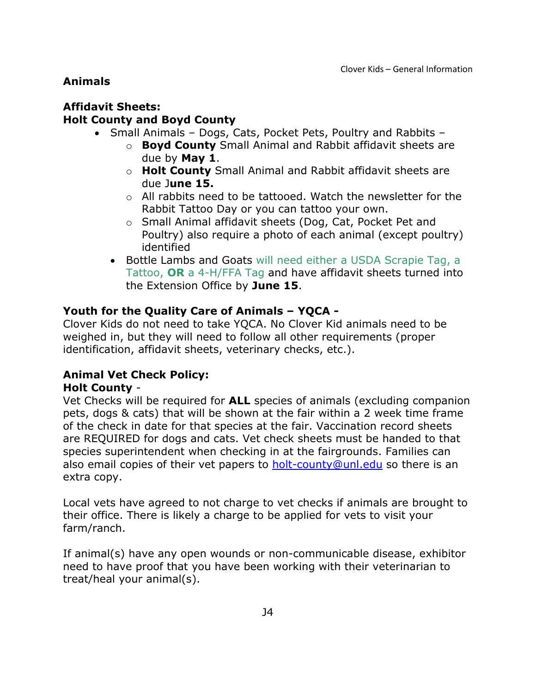## **Animals**

### **Affidavit Sheets: Holt County and Boyd County**

- Small Animals Dogs, Cats, Pocket Pets, Poultry and Rabbits
	- o **Boyd County** Small Animal and Rabbit affidavit sheets are due by **May 1**.
	- o **Holt County** Small Animal and Rabbit affidavit sheets are due J**une 15.**
	- $\circ$  All rabbits need to be tattooed. Watch the newsletter for the Rabbit Tattoo Day or you can tattoo your own.
	- o Small Animal affidavit sheets (Dog, Cat, Pocket Pet and Poultry) also require a photo of each animal (except poultry) identified
	- Bottle Lambs and Goats will need either a USDA Scrapie Tag, a Tattoo, **OR** a 4-H/FFA Tag and have affidavit sheets turned into the Extension Office by **June 15**.

### **Youth for the Quality Care of Animals – YQCA -**

Clover Kids do not need to take YQCA. No Clover Kid animals need to be weighed in, but they will need to follow all other requirements (proper identification, affidavit sheets, veterinary checks, etc.).

# **Animal Vet Check Policy:**

### **Holt County** -

Vet Checks will be required for **ALL** species of animals (excluding companion pets, dogs & cats) that will be shown at the fair within a 2 week time frame of the check in date for that species at the fair. Vaccination record sheets are REQUIRED for dogs and cats. Vet check sheets must be handed to that species superintendent when checking in at the fairgrounds. Families can also email copies of their vet papers to **holt-county@unl.edu** so there is an extra copy.

Local vets have agreed to not charge to vet checks if animals are brought to their office. There is likely a charge to be applied for vets to visit your farm/ranch.

If animal(s) have any open wounds or non-communicable disease, exhibitor need to have proof that you have been working with their veterinarian to treat/heal your animal(s).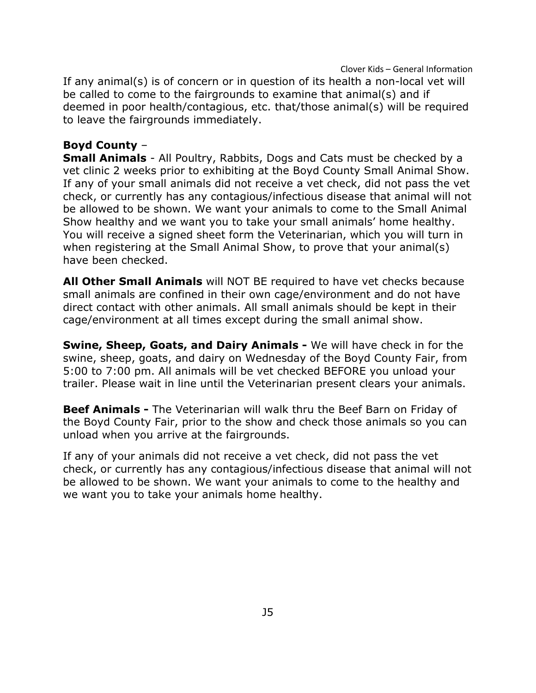Clover Kids – General Information If any animal(s) is of concern or in question of its health a non-local vet will be called to come to the fairgrounds to examine that animal(s) and if deemed in poor health/contagious, etc. that/those animal(s) will be required to leave the fairgrounds immediately.

#### **Boyd County** –

**Small Animals** - All Poultry, Rabbits, Dogs and Cats must be checked by a vet clinic 2 weeks prior to exhibiting at the Boyd County Small Animal Show. If any of your small animals did not receive a vet check, did not pass the vet check, or currently has any contagious/infectious disease that animal will not be allowed to be shown. We want your animals to come to the Small Animal Show healthy and we want you to take your small animals' home healthy. You will receive a signed sheet form the Veterinarian, which you will turn in when registering at the Small Animal Show, to prove that your animal(s) have been checked.

**All Other Small Animals** will NOT BE required to have vet checks because small animals are confined in their own cage/environment and do not have direct contact with other animals. All small animals should be kept in their cage/environment at all times except during the small animal show.

**Swine, Sheep, Goats, and Dairy Animals -** We will have check in for the swine, sheep, goats, and dairy on Wednesday of the Boyd County Fair, from 5:00 to 7:00 pm. All animals will be vet checked BEFORE you unload your trailer. Please wait in line until the Veterinarian present clears your animals.

**Beef Animals -** The Veterinarian will walk thru the Beef Barn on Friday of the Boyd County Fair, prior to the show and check those animals so you can unload when you arrive at the fairgrounds.

If any of your animals did not receive a vet check, did not pass the vet check, or currently has any contagious/infectious disease that animal will not be allowed to be shown. We want your animals to come to the healthy and we want you to take your animals home healthy.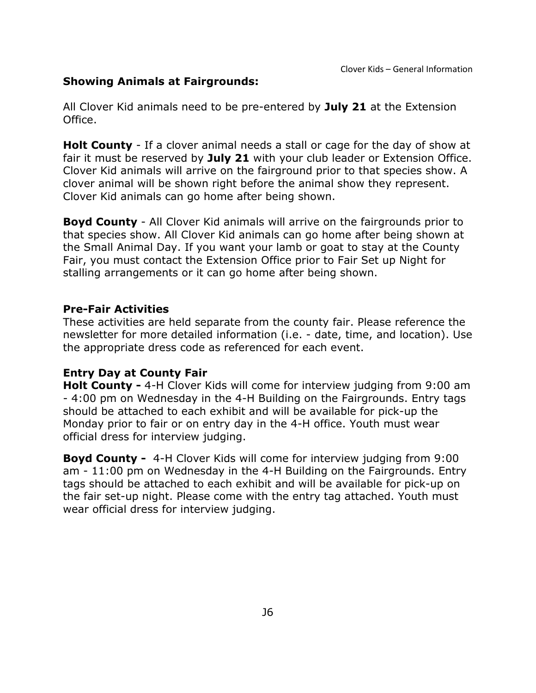### **Showing Animals at Fairgrounds:**

All Clover Kid animals need to be pre-entered by **July 21** at the Extension Office.

**Holt County** - If a clover animal needs a stall or cage for the day of show at fair it must be reserved by **July 21** with your club leader or Extension Office. Clover Kid animals will arrive on the fairground prior to that species show. A clover animal will be shown right before the animal show they represent. Clover Kid animals can go home after being shown.

**Boyd County** - All Clover Kid animals will arrive on the fairgrounds prior to that species show. All Clover Kid animals can go home after being shown at the Small Animal Day. If you want your lamb or goat to stay at the County Fair, you must contact the Extension Office prior to Fair Set up Night for stalling arrangements or it can go home after being shown.

#### **Pre-Fair Activities**

These activities are held separate from the county fair. Please reference the newsletter for more detailed information (i.e. - date, time, and location). Use the appropriate dress code as referenced for each event.

### **Entry Day at County Fair**

**Holt County -** 4-H Clover Kids will come for interview judging from 9:00 am - 4:00 pm on Wednesday in the 4-H Building on the Fairgrounds. Entry tags should be attached to each exhibit and will be available for pick-up the Monday prior to fair or on entry day in the 4-H office. Youth must wear official dress for interview judging.

**Boyd County -** 4-H Clover Kids will come for interview judging from 9:00 am - 11:00 pm on Wednesday in the 4-H Building on the Fairgrounds. Entry tags should be attached to each exhibit and will be available for pick-up on the fair set-up night. Please come with the entry tag attached. Youth must wear official dress for interview judging.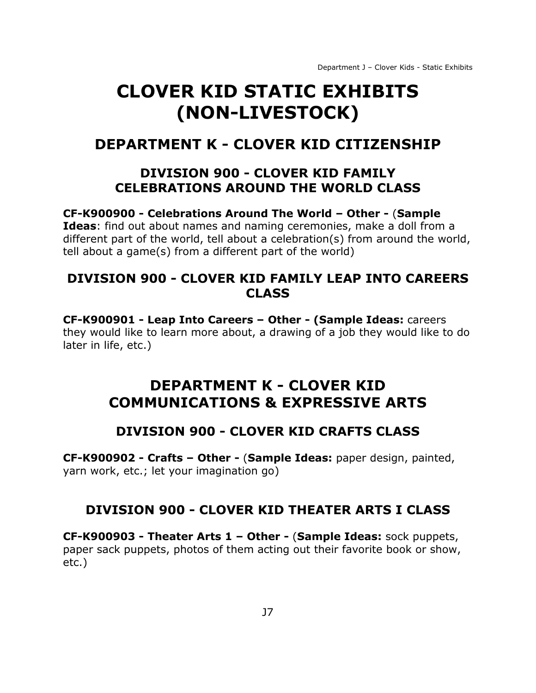# <span id="page-9-0"></span>**CLOVER KID STATIC EXHIBITS (NON-LIVESTOCK)**

# <span id="page-9-2"></span><span id="page-9-1"></span>**DEPARTMENT K - CLOVER KID CITIZENSHIP**

# **DIVISION 900 - CLOVER KID FAMILY CELEBRATIONS AROUND THE WORLD CLASS**

**CF-K900900 - Celebrations Around The World – Other -** (**Sample Ideas**: find out about names and naming ceremonies, make a doll from a different part of the world, tell about a celebration(s) from around the world, tell about a game(s) from a different part of the world)

# **DIVISION 900 - CLOVER KID FAMILY LEAP INTO CAREERS CLASS**

**CF-K900901 - Leap Into Careers – Other - (Sample Ideas:** careers they would like to learn more about, a drawing of a job they would like to do later in life, etc.)

# <span id="page-9-3"></span>**DEPARTMENT K - CLOVER KID COMMUNICATIONS & EXPRESSIVE ARTS**

# **DIVISION 900 - CLOVER KID CRAFTS CLASS**

**CF-K900902 - Crafts – Other -** (**Sample Ideas:** paper design, painted, yarn work, etc.; let your imagination go)

# **DIVISION 900 - CLOVER KID THEATER ARTS I CLASS**

**CF-K900903 - Theater Arts 1 – Other -** (**Sample Ideas:** sock puppets, paper sack puppets, photos of them acting out their favorite book or show, etc.)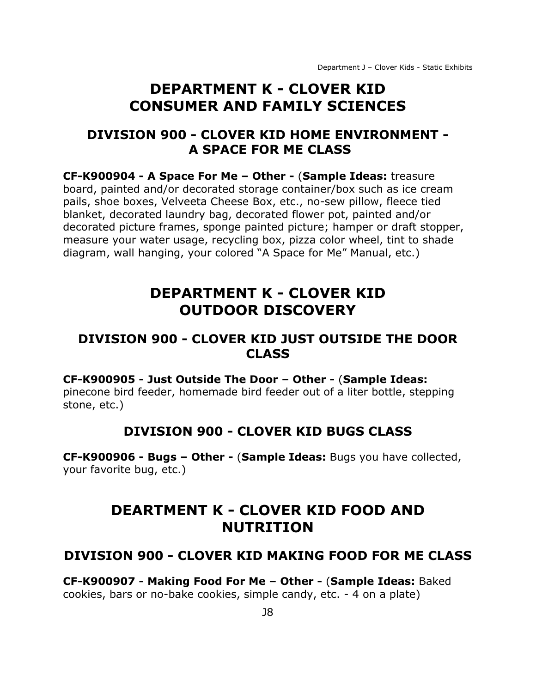# **DEPARTMENT K - CLOVER KID CONSUMER AND FAMILY SCIENCES**

# <span id="page-10-0"></span>**DIVISION 900 - CLOVER KID HOME ENVIRONMENT - A SPACE FOR ME CLASS**

**CF-K900904 - A Space For Me – Other -** (**Sample Ideas:** treasure board, painted and/or decorated storage container/box such as ice cream pails, shoe boxes, Velveeta Cheese Box, etc., no-sew pillow, fleece tied blanket, decorated laundry bag, decorated flower pot, painted and/or decorated picture frames, sponge painted picture; hamper or draft stopper, measure your water usage, recycling box, pizza color wheel, tint to shade diagram, wall hanging, your colored "A Space for Me" Manual, etc.)

# **DEPARTMENT K - CLOVER KID OUTDOOR DISCOVERY**

# <span id="page-10-2"></span><span id="page-10-1"></span>**DIVISION 900 - CLOVER KID JUST OUTSIDE THE DOOR CLASS**

#### **CF-K900905 - Just Outside The Door – Other -** (**Sample Ideas:**

pinecone bird feeder, homemade bird feeder out of a liter bottle, stepping stone, etc.)

# **DIVISION 900 - CLOVER KID BUGS CLASS**

**CF-K900906 - Bugs – Other -** (**Sample Ideas:** Bugs you have collected, your favorite bug, etc.)

# **DEARTMENT K - CLOVER KID FOOD AND NUTRITION**

### **DIVISION 900 - CLOVER KID MAKING FOOD FOR ME CLASS**

**CF-K900907 - Making Food For Me – Other -** (**Sample Ideas:** Baked cookies, bars or no-bake cookies, simple candy, etc. - 4 on a plate)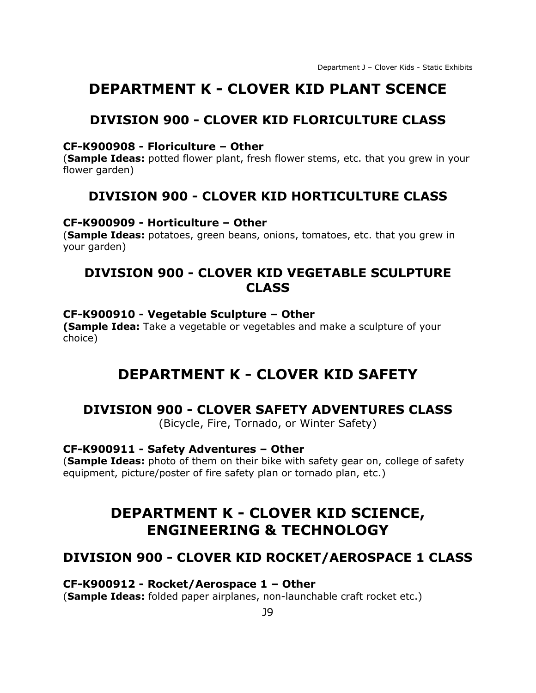# <span id="page-11-0"></span>**DEPARTMENT K - CLOVER KID PLANT SCENCE**

# **DIVISION 900 - CLOVER KID FLORICULTURE CLASS**

#### **CF-K900908 - Floriculture – Other**

(**Sample Ideas:** potted flower plant, fresh flower stems, etc. that you grew in your flower garden)

# **DIVISION 900 - CLOVER KID HORTICULTURE CLASS**

#### **CF-K900909 - Horticulture – Other**

(**Sample Ideas:** potatoes, green beans, onions, tomatoes, etc. that you grew in your garden)

# **DIVISION 900 - CLOVER KID VEGETABLE SCULPTURE CLASS**

#### **CF-K900910 - Vegetable Sculpture – Other**

<span id="page-11-1"></span>**(Sample Idea:** Take a vegetable or vegetables and make a sculpture of your choice)

# **DEPARTMENT K - CLOVER KID SAFETY**

### **DIVISION 900 - CLOVER SAFETY ADVENTURES CLASS**

(Bicycle, Fire, Tornado, or Winter Safety)

#### **CF-K900911 - Safety Adventures – Other**

<span id="page-11-2"></span>(**Sample Ideas:** photo of them on their bike with safety gear on, college of safety equipment, picture/poster of fire safety plan or tornado plan, etc.)

# **DEPARTMENT K - CLOVER KID SCIENCE, ENGINEERING & TECHNOLOGY**

### **DIVISION 900 - CLOVER KID ROCKET/AEROSPACE 1 CLASS**

#### **CF-K900912 - Rocket/Aerospace 1 – Other**

(**Sample Ideas:** folded paper airplanes, non-launchable craft rocket etc.)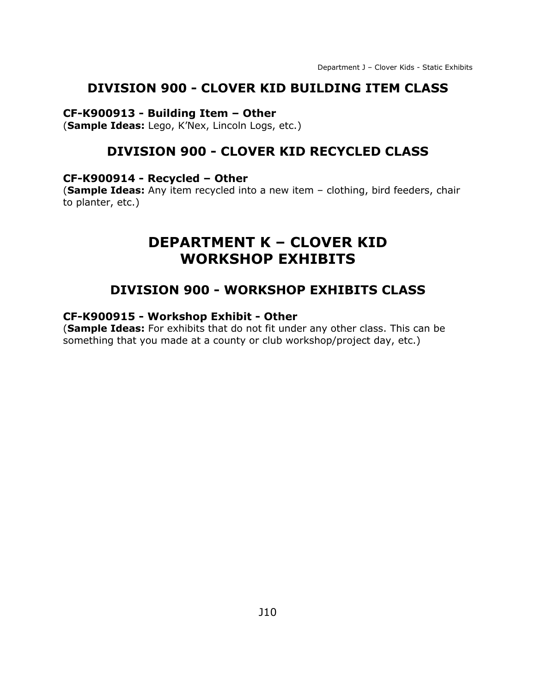#### **DIVISION 900 - CLOVER KID BUILDING ITEM CLASS**

#### **CF-K900913 - Building Item – Other**

(**Sample Ideas:** Lego, K'Nex, Lincoln Logs, etc.)

# **DIVISION 900 - CLOVER KID RECYCLED CLASS**

#### **CF-K900914 - Recycled – Other**

<span id="page-12-0"></span>(**Sample Ideas:** Any item recycled into a new item – clothing, bird feeders, chair to planter, etc.)

# **DEPARTMENT K – CLOVER KID WORKSHOP EXHIBITS**

### **DIVISION 900 - WORKSHOP EXHIBITS CLASS**

#### **CF-K900915 - Workshop Exhibit - Other**

(**Sample Ideas:** For exhibits that do not fit under any other class. This can be something that you made at a county or club workshop/project day, etc.)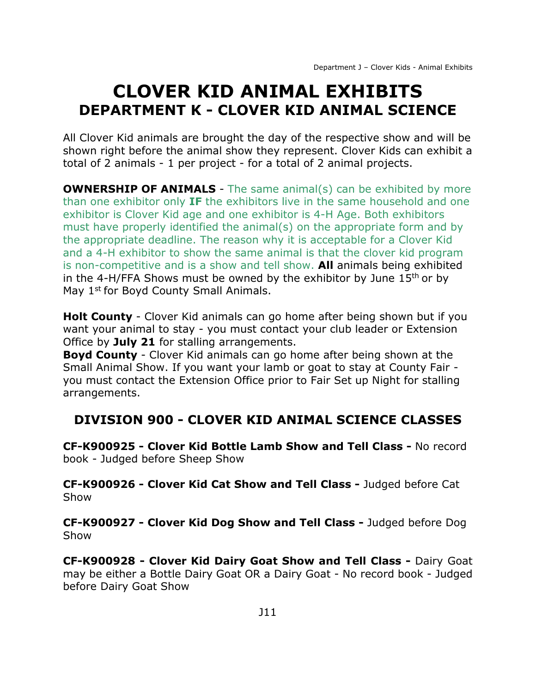# <span id="page-13-1"></span><span id="page-13-0"></span>**CLOVER KID ANIMAL EXHIBITS DEPARTMENT K - CLOVER KID ANIMAL SCIENCE**

All Clover Kid animals are brought the day of the respective show and will be shown right before the animal show they represent. Clover Kids can exhibit a total of 2 animals - 1 per project - for a total of 2 animal projects.

**OWNERSHIP OF ANIMALS** - The same animal(s) can be exhibited by more than one exhibitor only **IF** the exhibitors live in the same household and one exhibitor is Clover Kid age and one exhibitor is 4-H Age. Both exhibitors must have properly identified the animal(s) on the appropriate form and by the appropriate deadline. The reason why it is acceptable for a Clover Kid and a 4-H exhibitor to show the same animal is that the clover kid program is non-competitive and is a show and tell show. **All** animals being exhibited in the 4-H/FFA Shows must be owned by the exhibitor by June  $15<sup>th</sup>$  or by May 1<sup>st</sup> for Boyd County Small Animals.

**Holt County** - Clover Kid animals can go home after being shown but if you want your animal to stay - you must contact your club leader or Extension Office by **July 21** for stalling arrangements.

**Boyd County** - Clover Kid animals can go home after being shown at the Small Animal Show. If you want your lamb or goat to stay at County Fair you must contact the Extension Office prior to Fair Set up Night for stalling arrangements.

# **DIVISION 900 - CLOVER KID ANIMAL SCIENCE CLASSES**

**CF-K900925 - Clover Kid Bottle Lamb Show and Tell Class -** No record book - Judged before Sheep Show

**CF-K900926 - Clover Kid Cat Show and Tell Class -** Judged before Cat Show

**CF-K900927 - Clover Kid Dog Show and Tell Class -** Judged before Dog Show

**CF-K900928 - Clover Kid Dairy Goat Show and Tell Class -** Dairy Goat may be either a Bottle Dairy Goat OR a Dairy Goat - No record book - Judged before Dairy Goat Show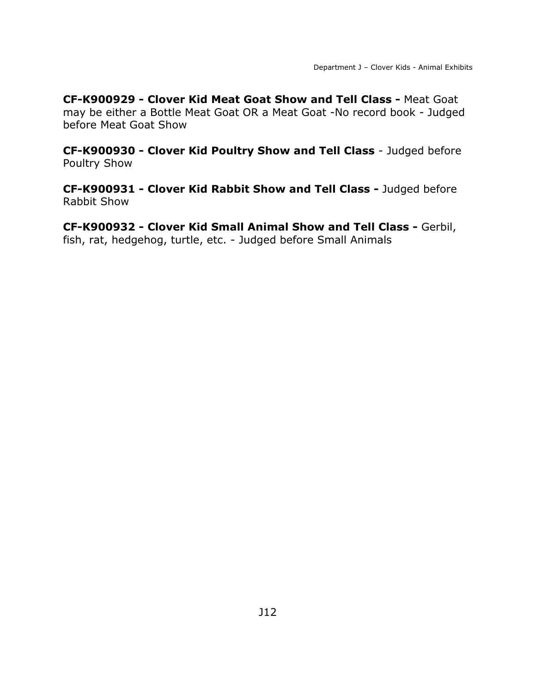**CF-K900929 - Clover Kid Meat Goat Show and Tell Class -** Meat Goat may be either a Bottle Meat Goat OR a Meat Goat -No record book - Judged before Meat Goat Show

**CF-K900930 - Clover Kid Poultry Show and Tell Class** - Judged before Poultry Show

**CF-K900931 - Clover Kid Rabbit Show and Tell Class -** Judged before Rabbit Show

**CF-K900932 - Clover Kid Small Animal Show and Tell Class -** Gerbil, fish, rat, hedgehog, turtle, etc. - Judged before Small Animals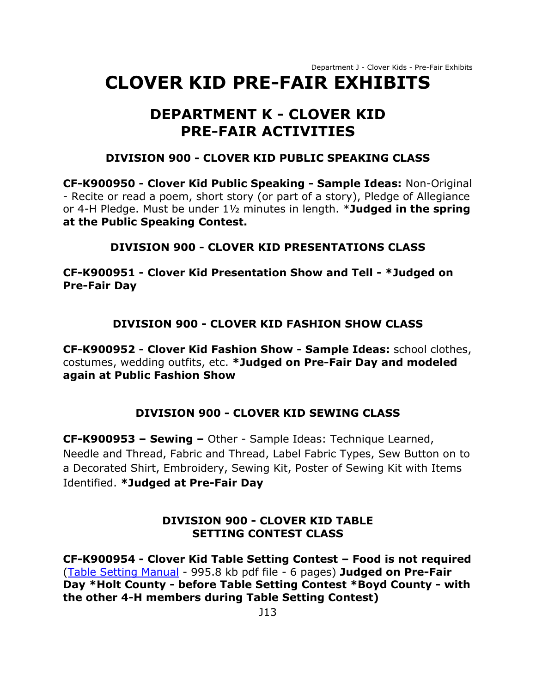Department J - Clover Kids - Pre-Fair Exhibits

# <span id="page-15-1"></span><span id="page-15-0"></span>**CLOVER KID PRE-FAIR EXHIBITS**

# **DEPARTMENT K - CLOVER KID PRE-FAIR ACTIVITIES**

### **DIVISION 900 - CLOVER KID PUBLIC SPEAKING CLASS**

**CF-K900950 - Clover Kid Public Speaking - Sample Ideas:** Non-Original - Recite or read a poem, short story (or part of a story), Pledge of Allegiance or 4-H Pledge. Must be under 1½ minutes in length. \***Judged in the spring at the Public Speaking Contest.**

### **DIVISION 900 - CLOVER KID PRESENTATIONS CLASS**

**CF-K900951 - Clover Kid Presentation Show and Tell - \*Judged on Pre-Fair Day**

# **DIVISION 900 - CLOVER KID FASHION SHOW CLASS**

**CF-K900952 - Clover Kid Fashion Show - Sample Ideas:** school clothes, costumes, wedding outfits, etc. **\*Judged on Pre-Fair Day and modeled again at Public Fashion Show**

# **DIVISION 900 - CLOVER KID SEWING CLASS**

**CF-K900953 – Sewing –** Other - Sample Ideas: Technique Learned, Needle and Thread, Fabric and Thread, Label Fabric Types, Sew Button on to a Decorated Shirt, Embroidery, Sewing Kit, Poster of Sewing Kit with Items Identified. **\*Judged at Pre-Fair Day**

### **DIVISION 900 - CLOVER KID TABLE SETTING CONTEST CLASS**

**CF-K900954 - Clover Kid Table Setting Contest – Food is not required** [\(Table Setting Manual](https://unl.box.com/s/cxlebf9qa1i2kgxboqpmmehmqwmel27a) - 995.8 kb pdf file - 6 pages) **Judged on Pre-Fair Day \*Holt County - before Table Setting Contest \*Boyd County - with the other 4-H members during Table Setting Contest)**